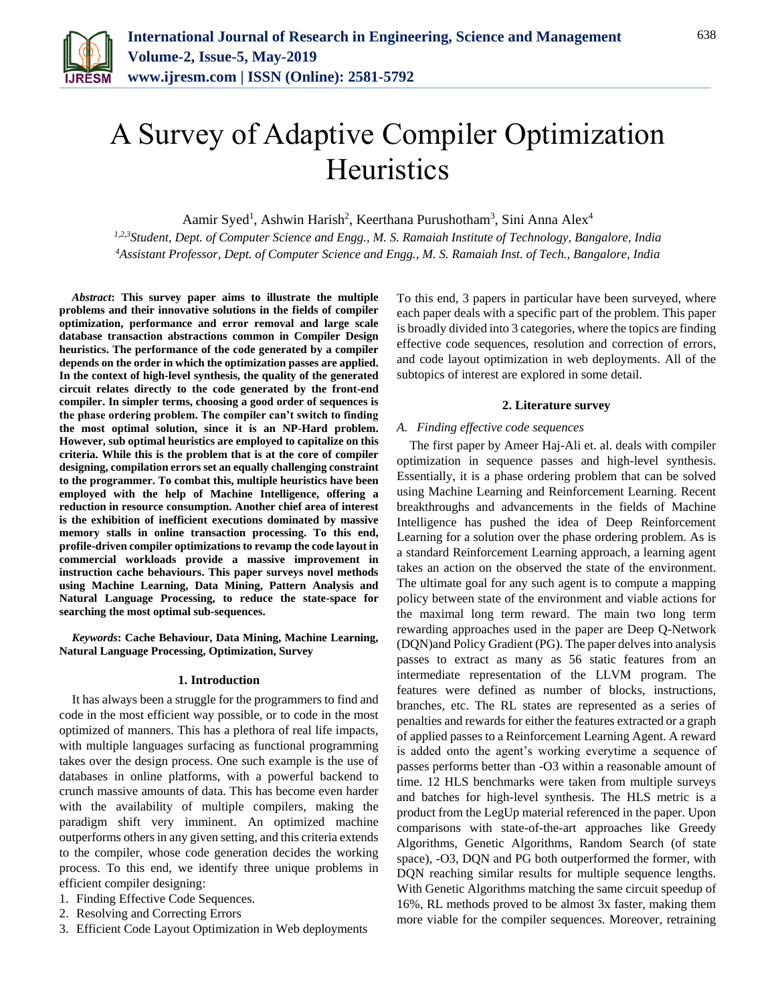

# A Survey of Adaptive Compiler Optimization **Heuristics**

Aamir Syed<sup>1</sup>, Ashwin Harish<sup>2</sup>, Keerthana Purushotham<sup>3</sup>, Sini Anna Alex<sup>4</sup>

*1,2,3Student, Dept. of Computer Science and Engg., M. S. Ramaiah Institute of Technology, Bangalore, India <sup>4</sup>Assistant Professor, Dept. of Computer Science and Engg., M. S. Ramaiah Inst. of Tech., Bangalore, India*

*Abstract***: This survey paper aims to illustrate the multiple problems and their innovative solutions in the fields of compiler optimization, performance and error removal and large scale database transaction abstractions common in Compiler Design heuristics. The performance of the code generated by a compiler depends on the order in which the optimization passes are applied. In the context of high-level synthesis, the quality of the generated circuit relates directly to the code generated by the front-end compiler. In simpler terms, choosing a good order of sequences is the phase ordering problem. The compiler can't switch to finding the most optimal solution, since it is an NP-Hard problem. However, sub optimal heuristics are employed to capitalize on this criteria. While this is the problem that is at the core of compiler designing, compilation errors set an equally challenging constraint to the programmer. To combat this, multiple heuristics have been employed with the help of Machine Intelligence, offering a reduction in resource consumption. Another chief area of interest is the exhibition of inefficient executions dominated by massive memory stalls in online transaction processing. To this end, profile-driven compiler optimizations to revamp the code layout in commercial workloads provide a massive improvement in instruction cache behaviours. This paper surveys novel methods using Machine Learning, Data Mining, Pattern Analysis and Natural Language Processing, to reduce the state-space for searching the most optimal sub-sequences.** 

*Keywords***: Cache Behaviour, Data Mining, Machine Learning, Natural Language Processing, Optimization, Survey**

# **1. Introduction**

It has always been a struggle for the programmers to find and code in the most efficient way possible, or to code in the most optimized of manners. This has a plethora of real life impacts, with multiple languages surfacing as functional programming takes over the design process. One such example is the use of databases in online platforms, with a powerful backend to crunch massive amounts of data. This has become even harder with the availability of multiple compilers, making the paradigm shift very imminent. An optimized machine outperforms others in any given setting, and this criteria extends to the compiler, whose code generation decides the working process. To this end, we identify three unique problems in efficient compiler designing:

- 1. Finding Effective Code Sequences.
- 2. Resolving and Correcting Errors
- 3. Efficient Code Layout Optimization in Web deployments

To this end, 3 papers in particular have been surveyed, where each paper deals with a specific part of the problem. This paper is broadly divided into 3 categories, where the topics are finding effective code sequences, resolution and correction of errors, and code layout optimization in web deployments. All of the subtopics of interest are explored in some detail.

## **2. Literature survey**

## *A. Finding effective code sequences*

The first paper by Ameer Haj-Ali et. al. deals with compiler optimization in sequence passes and high-level synthesis. Essentially, it is a phase ordering problem that can be solved using Machine Learning and Reinforcement Learning. Recent breakthroughs and advancements in the fields of Machine Intelligence has pushed the idea of Deep Reinforcement Learning for a solution over the phase ordering problem. As is a standard Reinforcement Learning approach, a learning agent takes an action on the observed the state of the environment. The ultimate goal for any such agent is to compute a mapping policy between state of the environment and viable actions for the maximal long term reward. The main two long term rewarding approaches used in the paper are Deep Q-Network (DQN)and Policy Gradient (PG). The paper delves into analysis passes to extract as many as 56 static features from an intermediate representation of the LLVM program. The features were defined as number of blocks, instructions, branches, etc. The RL states are represented as a series of penalties and rewards for either the features extracted or a graph of applied passes to a Reinforcement Learning Agent. A reward is added onto the agent's working everytime a sequence of passes performs better than -O3 within a reasonable amount of time. 12 HLS benchmarks were taken from multiple surveys and batches for high-level synthesis. The HLS metric is a product from the LegUp material referenced in the paper. Upon comparisons with state-of-the-art approaches like Greedy Algorithms, Genetic Algorithms, Random Search (of state space), -O3, DQN and PG both outperformed the former, with DQN reaching similar results for multiple sequence lengths. With Genetic Algorithms matching the same circuit speedup of 16%, RL methods proved to be almost 3x faster, making them more viable for the compiler sequences. Moreover, retraining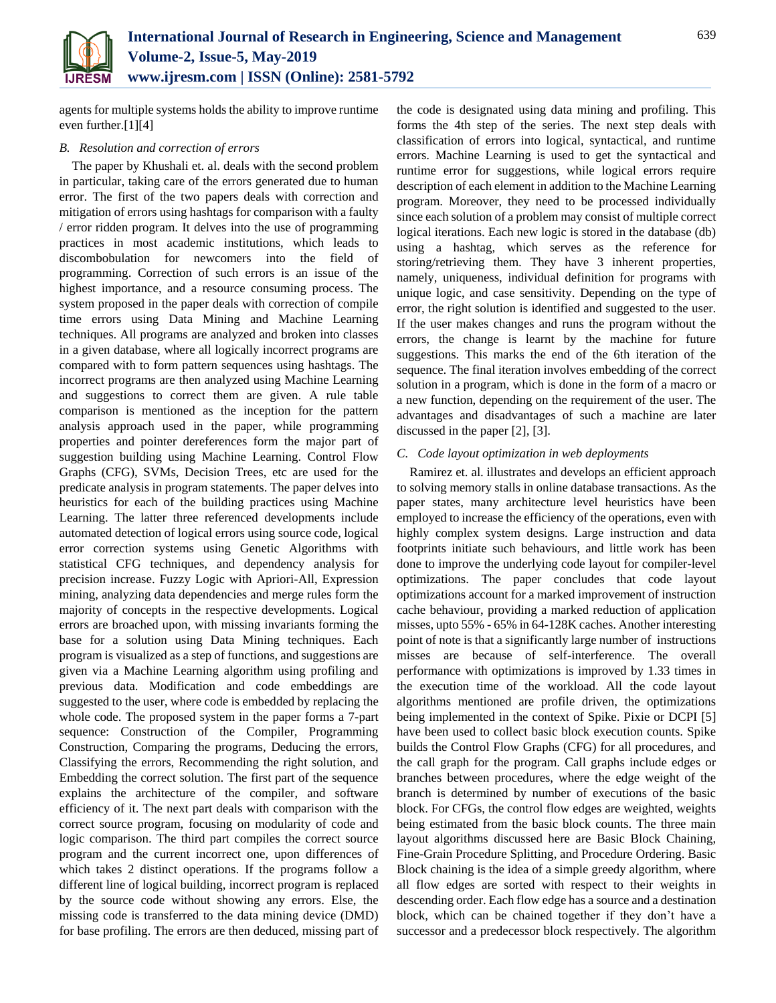

agents for multiple systems holds the ability to improve runtime even further.[1][4]

# *B. Resolution and correction of errors*

The paper by Khushali et. al. deals with the second problem in particular, taking care of the errors generated due to human error. The first of the two papers deals with correction and mitigation of errors using hashtags for comparison with a faulty / error ridden program. It delves into the use of programming practices in most academic institutions, which leads to discombobulation for newcomers into the field of programming. Correction of such errors is an issue of the highest importance, and a resource consuming process. The system proposed in the paper deals with correction of compile time errors using Data Mining and Machine Learning techniques. All programs are analyzed and broken into classes in a given database, where all logically incorrect programs are compared with to form pattern sequences using hashtags. The incorrect programs are then analyzed using Machine Learning and suggestions to correct them are given. A rule table comparison is mentioned as the inception for the pattern analysis approach used in the paper, while programming properties and pointer dereferences form the major part of suggestion building using Machine Learning. Control Flow Graphs (CFG), SVMs, Decision Trees, etc are used for the predicate analysis in program statements. The paper delves into heuristics for each of the building practices using Machine Learning. The latter three referenced developments include automated detection of logical errors using source code, logical error correction systems using Genetic Algorithms with statistical CFG techniques, and dependency analysis for precision increase. Fuzzy Logic with Apriori-All, Expression mining, analyzing data dependencies and merge rules form the majority of concepts in the respective developments. Logical errors are broached upon, with missing invariants forming the base for a solution using Data Mining techniques. Each program is visualized as a step of functions, and suggestions are given via a Machine Learning algorithm using profiling and previous data. Modification and code embeddings are suggested to the user, where code is embedded by replacing the whole code. The proposed system in the paper forms a 7-part sequence: Construction of the Compiler, Programming Construction, Comparing the programs, Deducing the errors, Classifying the errors, Recommending the right solution, and Embedding the correct solution. The first part of the sequence explains the architecture of the compiler, and software efficiency of it. The next part deals with comparison with the correct source program, focusing on modularity of code and logic comparison. The third part compiles the correct source program and the current incorrect one, upon differences of which takes 2 distinct operations. If the programs follow a different line of logical building, incorrect program is replaced by the source code without showing any errors. Else, the missing code is transferred to the data mining device (DMD) for base profiling. The errors are then deduced, missing part of the code is designated using data mining and profiling. This forms the 4th step of the series. The next step deals with classification of errors into logical, syntactical, and runtime errors. Machine Learning is used to get the syntactical and runtime error for suggestions, while logical errors require description of each element in addition to the Machine Learning program. Moreover, they need to be processed individually since each solution of a problem may consist of multiple correct logical iterations. Each new logic is stored in the database (db) using a hashtag, which serves as the reference for storing/retrieving them. They have 3 inherent properties, namely, uniqueness, individual definition for programs with unique logic, and case sensitivity. Depending on the type of error, the right solution is identified and suggested to the user. If the user makes changes and runs the program without the errors, the change is learnt by the machine for future suggestions. This marks the end of the 6th iteration of the sequence. The final iteration involves embedding of the correct solution in a program, which is done in the form of a macro or a new function, depending on the requirement of the user. The advantages and disadvantages of such a machine are later discussed in the paper [2], [3].

# *C. Code layout optimization in web deployments*

Ramirez et. al. illustrates and develops an efficient approach to solving memory stalls in online database transactions. As the paper states, many architecture level heuristics have been employed to increase the efficiency of the operations, even with highly complex system designs. Large instruction and data footprints initiate such behaviours, and little work has been done to improve the underlying code layout for compiler-level optimizations. The paper concludes that code layout optimizations account for a marked improvement of instruction cache behaviour, providing a marked reduction of application misses, upto 55% - 65% in 64-128K caches. Another interesting point of note is that a significantly large number of instructions misses are because of self-interference. The overall performance with optimizations is improved by 1.33 times in the execution time of the workload. All the code layout algorithms mentioned are profile driven, the optimizations being implemented in the context of Spike. Pixie or DCPI [5] have been used to collect basic block execution counts. Spike builds the Control Flow Graphs (CFG) for all procedures, and the call graph for the program. Call graphs include edges or branches between procedures, where the edge weight of the branch is determined by number of executions of the basic block. For CFGs, the control flow edges are weighted, weights being estimated from the basic block counts. The three main layout algorithms discussed here are Basic Block Chaining, Fine-Grain Procedure Splitting, and Procedure Ordering. Basic Block chaining is the idea of a simple greedy algorithm, where all flow edges are sorted with respect to their weights in descending order. Each flow edge has a source and a destination block, which can be chained together if they don't have a successor and a predecessor block respectively. The algorithm